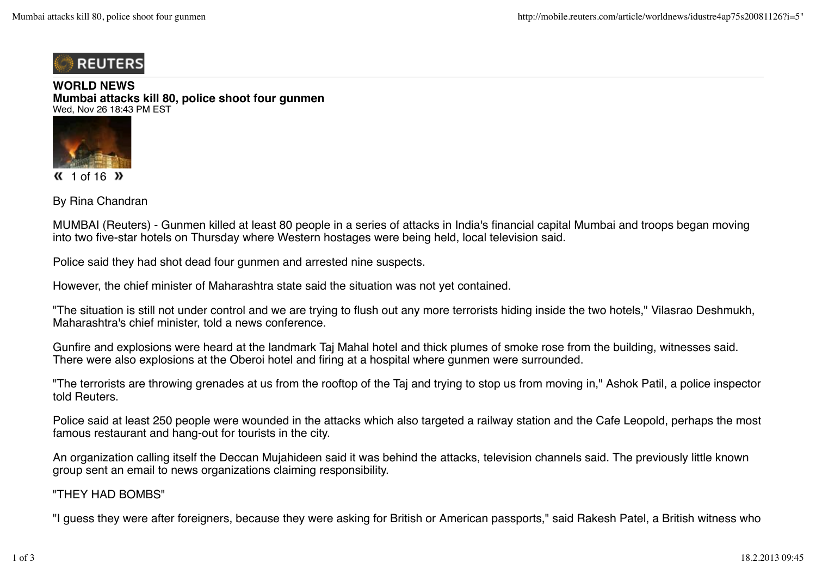

**WORLD NEWS Mumbai attacks kill 80, police shoot four gunmen** Wed, Nov 26 18:43 PM EST



 $\langle$  1 of 16  $\rangle$ 

By Rina Chandran

MUMBAI (Reuters) - Gunmen killed at least 80 people in a series of attacks in India's financial capital Mumbai and troops began moving into two five-star hotels on Thursday where Western hostages were being held, local television said.

Police said they had shot dead four gunmen and arrested nine suspects.

However, the chief minister of Maharashtra state said the situation was not yet contained.

"The situation is still not under control and we are trying to flush out any more terrorists hiding inside the two hotels," Vilasrao Deshmukh, Maharashtra's chief minister, told a news conference.

Gunfire and explosions were heard at the landmark Taj Mahal hotel and thick plumes of smoke rose from the building, witnesses said. There were also explosions at the Oberoi hotel and firing at a hospital where gunmen were surrounded.

"The terrorists are throwing grenades at us from the rooftop of the Taj and trying to stop us from moving in," Ashok Patil, a police inspector told Reuters.

Police said at least 250 people were wounded in the attacks which also targeted a railway station and the Cafe Leopold, perhaps the most famous restaurant and hang-out for tourists in the city.

An organization calling itself the Deccan Mujahideen said it was behind the attacks, television channels said. The previously little known group sent an email to news organizations claiming responsibility.

"THEY HAD BOMBS"

"I guess they were after foreigners, because they were asking for British or American passports," said Rakesh Patel, a British witness who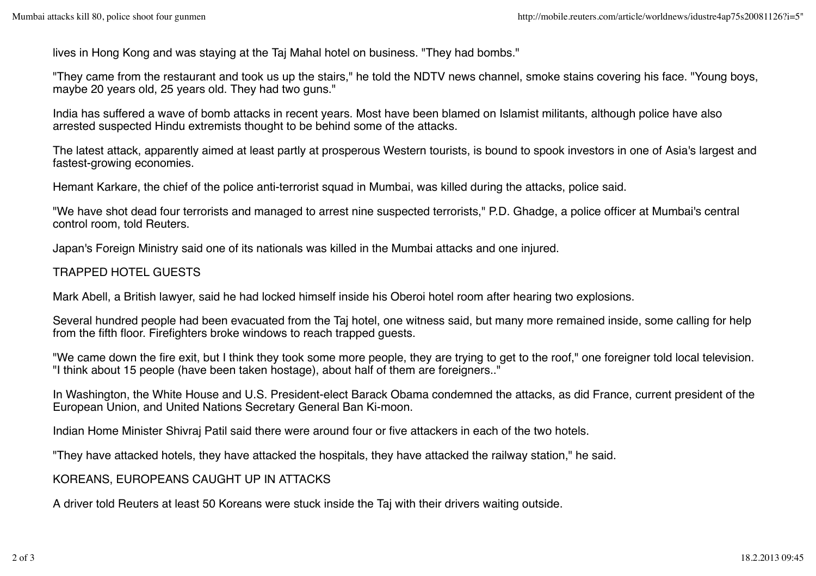lives in Hong Kong and was staying at the Taj Mahal hotel on business. "They had bombs."

"They came from the restaurant and took us up the stairs," he told the NDTV news channel, smoke stains covering his face. "Young boys, maybe 20 years old, 25 years old. They had two guns."

India has suffered a wave of bomb attacks in recent years. Most have been blamed on Islamist militants, although police have also arrested suspected Hindu extremists thought to be behind some of the attacks.

The latest attack, apparently aimed at least partly at prosperous Western tourists, is bound to spook investors in one of Asia's largest and fastest-growing economies.

Hemant Karkare, the chief of the police anti-terrorist squad in Mumbai, was killed during the attacks, police said.

"We have shot dead four terrorists and managed to arrest nine suspected terrorists," P.D. Ghadge, a police officer at Mumbai's central control room, told Reuters.

Japan's Foreign Ministry said one of its nationals was killed in the Mumbai attacks and one injured.

## TRAPPED HOTEL GUESTS

Mark Abell, a British lawyer, said he had locked himself inside his Oberoi hotel room after hearing two explosions.

Several hundred people had been evacuated from the Taj hotel, one witness said, but many more remained inside, some calling for help from the fifth floor. Firefighters broke windows to reach trapped guests.

"We came down the fire exit, but I think they took some more people, they are trying to get to the roof," one foreigner told local television. "I think about 15 people (have been taken hostage), about half of them are foreigners.."

In Washington, the White House and U.S. President-elect Barack Obama condemned the attacks, as did France, current president of the European Union, and United Nations Secretary General Ban Ki-moon.

Indian Home Minister Shivraj Patil said there were around four or five attackers in each of the two hotels.

"They have attacked hotels, they have attacked the hospitals, they have attacked the railway station," he said.

## KOREANS, EUROPEANS CAUGHT UP IN ATTACKS

A driver told Reuters at least 50 Koreans were stuck inside the Taj with their drivers waiting outside.